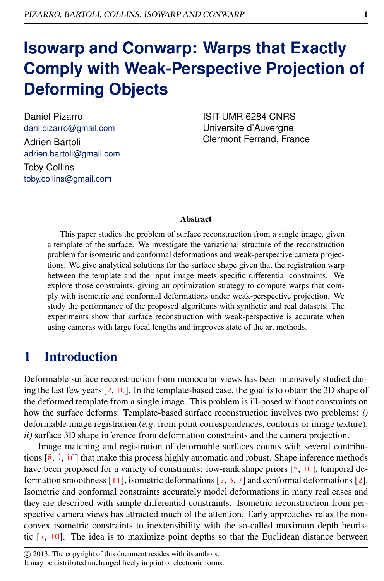# **Isowarp and Conwarp: Warps that Exactly Comply with Weak-Perspective Projection of Deforming Objects**

Daniel Pizarro dani.pizarro@gmail.com Adrien Bartoli adrien.bartoli@gmail.com Toby Collins toby.collins@gmail.com

ISIT-UMR 6284 CNRS Universite d'Auvergne Clermont Ferrand, France

#### Abstract

This paper studies the problem of surface reconstruction from a single image, given a template of the surface. We investigate the variational structure of the reconstruction problem for isometric and conformal deformations and weak-perspective camera projections. We give analytical solutions for the surface shape given that the registration warp between the template and the input image meets specific differential constraints. We explore those constraints, giving an optimization strategy to compute warps that comply with isometric and conformal deformations under weak-perspective projection. We study the performance of the proposed algorithms with synthetic and real datasets. The experiments show that surface reconstruction with weak-perspective is accurate when using cameras with large focal lengths and improves state of the art methods.

### 1 Introduction

Deformable surface reconstruction from monocular views has been intensively studied during the last few years  $[2, 10]$ . In the template-based case, the goal is to obtain the 3D shape of the deformed template from a single image. This problem is ill-posed without constraints on how the surface deforms. Template-based surface reconstruction involves two problems: *i)* deformable image registration (*e.g*. from point correspondences, contours or image texture). *ii)* surface 3D shape inference from deformation constraints and the camera projection.

Image matching and registration of deformable surfaces counts with several contributions  $\{8, 9, 10\}$  that make this process highly automatic and robust. Shape inference methods have been proposed for a variety of constraints: low-rank shape priors [5, 10], temporal deformation smoothness [11], isometric deformations [2, 3, 7] and conformal deformations [2]. Isometric and conformal constraints accurately model deformations in many real cases and they are described with simple differential constraints. Isometric reconstruction from perspective camera views has attracted much of the attention. Early approaches relax the nonconvex isometric constraints to inextensibility with the so-called maximum depth heuristic  $[7, 10]$ . The idea is to maximize point depths so that the Euclidean distance between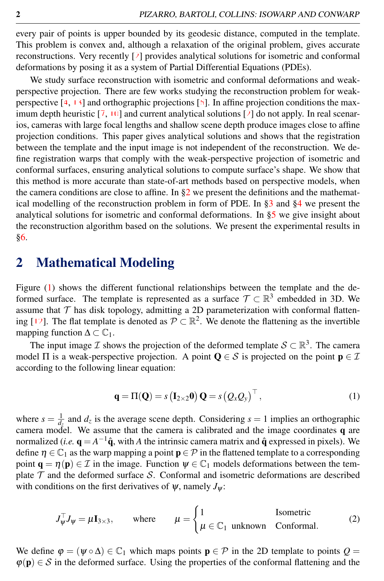every pair of points is upper bounded by its geodesic distance, computed in the template. This problem is convex and, although a relaxation of the original problem, gives accurate reconstructions. Very recently [2] provides analytical solutions for isometric and conformal deformations by posing it as a system of Partial Differential Equations (PDEs).

We study surface reconstruction with isometric and conformal deformations and weakperspective projection. There are few works studying the reconstruction problem for weakperspective  $[4, 13]$  and orthographic projections  $[6]$ . In affine projection conditions the maximum depth heuristic  $\overline{[7, 10]}$  and current analytical solutions  $\overline{[2]}$  do not apply. In real scenarios, cameras with large focal lengths and shallow scene depth produce images close to affine projection conditions. This paper gives analytical solutions and shows that the registration between the template and the input image is not independent of the reconstruction. We define registration warps that comply with the weak-perspective projection of isometric and conformal surfaces, ensuring analytical solutions to compute surface's shape. We show that this method is more accurate than state-of-art methods based on perspective models, when the camera conditions are close to affine. In  $\S2$  we present the definitions and the mathematical modelling of the reconstruction problem in form of PDE. In [§3](#page-2-0) and [§4](#page-4-0) we present the analytical solutions for isometric and conformal deformations. In [§5](#page-4-1) we give insight about the reconstruction algorithm based on the solutions. We present the experimental results in [§6.](#page-6-0)

### <span id="page-1-0"></span>2 Mathematical Modeling

Figure [\(1\)](#page-2-1) shows the different functional relationships between the template and the deformed surface. The template is represented as a surface  $\mathcal{T} \subset \mathbb{R}^3$  embedded in 3D. We assume that  $T$  has disk topology, admitting a 2D parameterization with conformal flattening [12]. The flat template is denoted as  $P \subset \mathbb{R}^2$ . We denote the flattening as the invertible mapping function  $\Delta \subset \mathbb{C}_1$ .

The input image  $\mathcal I$  shows the projection of the deformed template  $\mathcal S \subset \mathbb R^3$ . The camera model  $\Pi$  is a weak-perspective projection. A point  $\mathbf{Q} \in \mathcal{S}$  is projected on the point  $\mathbf{p} \in \mathcal{I}$ according to the following linear equation:

<span id="page-1-1"></span>
$$
\mathbf{q} = \Pi(\mathbf{Q}) = s \left( \mathbf{I}_{2 \times 2} \mathbf{0} \right) \mathbf{Q} = s \left( \mathcal{Q}_x \mathcal{Q}_y \right)^\top, \tag{1}
$$

where  $s = \frac{1}{d_z}$  and  $d_z$  is the average scene depth. Considering  $s = 1$  implies an orthographic camera model. We assume that the camera is calibrated and the image coordinates q are normalized (*i.e.*  $q = A^{-1}\hat{q}$ , with *A* the intrinsic camera matrix and  $\hat{q}$  expressed in pixels). We define  $\eta \in \mathbb{C}_1$  as the warp mapping a point  $\mathbf{p} \in \mathcal{P}$  in the flattened template to a corresponding point  $\mathbf{q} = \eta(\mathbf{p}) \in \mathcal{I}$  in the image. Function  $\psi \in \mathbb{C}_1$  models deformations between the template  $\mathcal T$  and the deformed surface S. Conformal and isometric deformations are described with conditions on the first derivatives of  $\psi$ , namely  $J_{\psi}$ :

$$
J_{\psi}^{\top} J_{\psi} = \mu \mathbf{I}_{3 \times 3}, \quad \text{where} \quad \mu = \begin{cases} 1 & \text{Isometric} \\ \mu \in \mathbb{C}_1 & \text{unknown} \quad \text{Conformal.} \end{cases} \tag{2}
$$

We define  $\varphi = (\psi \circ \Delta) \in \mathbb{C}_1$  which maps points  $\mathbf{p} \in \mathcal{P}$  in the 2D template to points  $Q =$  $\varphi(\mathbf{p}) \in S$  in the deformed surface. Using the properties of the conformal flattening and the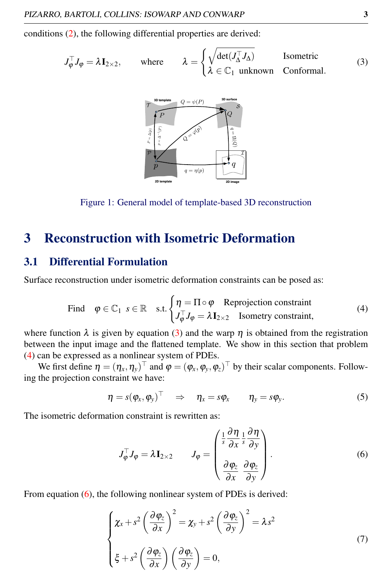conditions [\(2\)](#page-1-1), the following differential properties are derived:

$$
J_{\varphi}^{\top} J_{\varphi} = \lambda \mathbf{I}_{2 \times 2}, \quad \text{where} \quad \lambda = \begin{cases} \sqrt{\det(J_{\Delta}^{\top} J_{\Delta})} & \text{Isometric} \\ \lambda \in \mathbb{C}_1 \text{ unknown} & \text{Conformal.} \end{cases}
$$
 (3)

<span id="page-2-2"></span>

<span id="page-2-1"></span>Figure 1: General model of template-based 3D reconstruction

# <span id="page-2-0"></span>3 Reconstruction with Isometric Deformation

#### 3.1 Differential Formulation

<span id="page-2-3"></span>Surface reconstruction under isometric deformation constraints can be posed as:

Find 
$$
\varphi \in \mathbb{C}_1
$$
  $s \in \mathbb{R}$  s.t.  $\begin{cases} \eta = \Pi \circ \varphi \quad \text{Reprojection constraint} \\ J_{\varphi}^\top J_{\varphi} = \lambda \mathbf{I}_{2 \times 2} \quad \text{Isometry constraint,} \end{cases}$  (4)

where function  $\lambda$  is given by equation [\(3\)](#page-2-2) and the warp  $\eta$  is obtained from the registration between the input image and the flattened template. We show in this section that problem [\(4\)](#page-2-3) can be expressed as a nonlinear system of PDEs.

We first define  $\eta = (\eta_x, \eta_y)^\top$  and  $\varphi = (\varphi_x, \varphi_y, \varphi_z)^\top$  by their scalar components. Following the projection constraint we have:

$$
\eta = s(\varphi_x, \varphi_y)^\top \quad \Rightarrow \quad \eta_x = s\varphi_x \qquad \eta_y = s\varphi_y. \tag{5}
$$

The isometric deformation constraint is rewritten as:

<span id="page-2-4"></span>
$$
J_{\varphi}^{\top} J_{\varphi} = \lambda \mathbf{I}_{2 \times 2} \qquad J_{\varphi} = \begin{pmatrix} \frac{1}{s} \frac{\partial \eta}{\partial x} \frac{1}{s} \frac{\partial \eta}{\partial y} \\ \frac{\partial \varphi_{z}}{\partial x} \frac{\partial \varphi_{z}}{\partial y} \end{pmatrix} . \tag{6}
$$

<span id="page-2-5"></span>From equation [\(6\)](#page-2-4), the following nonlinear system of PDEs is derived:

$$
\begin{cases}\n\chi_x + s^2 \left(\frac{\partial \varphi_z}{\partial x}\right)^2 = \chi_y + s^2 \left(\frac{\partial \varphi_z}{\partial y}\right)^2 = \lambda s^2 \\
\xi + s^2 \left(\frac{\partial \varphi_z}{\partial x}\right) \left(\frac{\partial \varphi_z}{\partial y}\right) = 0,\n\end{cases}
$$
\n(7)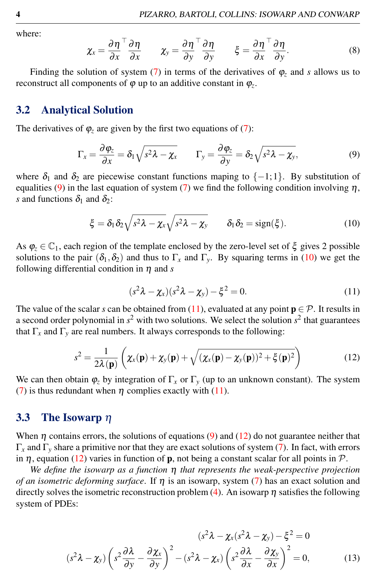where:

$$
\chi_x = \frac{\partial \eta}{\partial x}^\top \frac{\partial \eta}{\partial x} \qquad \chi_y = \frac{\partial \eta}{\partial y}^\top \frac{\partial \eta}{\partial y} \qquad \xi = \frac{\partial \eta}{\partial x}^\top \frac{\partial \eta}{\partial y}.
$$
 (8)

Finding the solution of system [\(7\)](#page-2-5) in terms of the derivatives of  $\varphi$ <sub>z</sub> and *s* allows us to reconstruct all components of  $\varphi$  up to an additive constant in  $\varphi_z$ .

#### 3.2 Analytical Solution

<span id="page-3-0"></span>The derivatives of  $\varphi$ <sub>z</sub> are given by the first two equations of [\(7\)](#page-2-5):

$$
\Gamma_x = \frac{\partial \varphi_z}{\partial x} = \delta_1 \sqrt{s^2 \lambda - \chi_x} \qquad \Gamma_y = \frac{\partial \varphi_z}{\partial y} = \delta_2 \sqrt{s^2 \lambda - \chi_y}, \tag{9}
$$

where  $\delta_1$  and  $\delta_2$  are piecewise constant functions maping to  $\{-1,1\}$ . By substitution of equalities [\(9\)](#page-3-0) in the last equation of system [\(7\)](#page-2-5) we find the following condition involving  $\eta$ , *s* and functions  $\delta_1$  and  $\delta_2$ :

<span id="page-3-1"></span>
$$
\xi = \delta_1 \delta_2 \sqrt{s^2 \lambda - \chi_x} \sqrt{s^2 \lambda - \chi_y} \qquad \delta_1 \delta_2 = \text{sign}(\xi). \tag{10}
$$

As  $\varphi_z \in \mathbb{C}_1$ , each region of the template enclosed by the zero-level set of  $\xi$  gives 2 possible solutions to the pair  $(\delta_1, \delta_2)$  and thus to  $\Gamma_x$  and  $\Gamma_y$ . By squaring terms in [\(10\)](#page-3-1) we get the following differential condition in  $\eta$  and *s* 

$$
(s2\lambda - \chi_x)(s2\lambda - \chi_y) - \xi2 = 0.
$$
 (11)

<span id="page-3-3"></span><span id="page-3-2"></span>The value of the scalar *s* can be obtained from [\(11\)](#page-3-2), evaluated at any point  $p \in \mathcal{P}$ . It results in a second order polynomial in  $s^2$  with two solutions. We select the solution  $s^2$  that guarantees that  $\Gamma_x$  and  $\Gamma_y$  are real numbers. It always corresponds to the following:

$$
s^2 = \frac{1}{2\lambda(\mathbf{p})} \left( \chi_x(\mathbf{p}) + \chi_y(\mathbf{p}) + \sqrt{(\chi_x(\mathbf{p}) - \chi_y(\mathbf{p}))^2 + \xi(\mathbf{p})^2} \right)
$$
(12)

We can then obtain  $\varphi_z$  by integration of  $\Gamma_x$  or  $\Gamma_y$  (up to an unknown constant). The system [\(7\)](#page-2-5) is thus redundant when  $\eta$  complies exactly with [\(11\)](#page-3-2).

#### 3.3 The Isowarp  $\eta$

When  $\eta$  contains errors, the solutions of equations [\(9\)](#page-3-0) and [\(12\)](#page-3-3) do not guarantee neither that Γ*<sup>x</sup>* and Γ*<sup>y</sup>* share a primitive nor that they are exact solutions of system [\(7\)](#page-2-5). In fact, with errors in  $\eta$ , equation [\(12\)](#page-3-3) varies in function of **p**, not being a constant scalar for all points in P.

*We define the isowarp as a function* η *that represents the weak-perspective projection of an isometric deforming surface*. If η is an isowarp, system [\(7\)](#page-2-5) has an exact solution and directly solves the isometric reconstruction problem [\(4\)](#page-2-3). An isowarp  $\eta$  satisfies the following system of PDEs:

<span id="page-3-4"></span>
$$
(s^{2}\lambda - \chi_{x}(s^{2}\lambda - \chi_{y}) - \xi^{2} = 0
$$
  

$$
(s^{2}\lambda - \chi_{y})\left(s^{2}\frac{\partial\lambda}{\partial y} - \frac{\partial\chi_{x}}{\partial y}\right)^{2} - (s^{2}\lambda - \chi_{x})\left(s^{2}\frac{\partial\lambda}{\partial x} - \frac{\partial\chi_{y}}{\partial x}\right)^{2} = 0,
$$
 (13)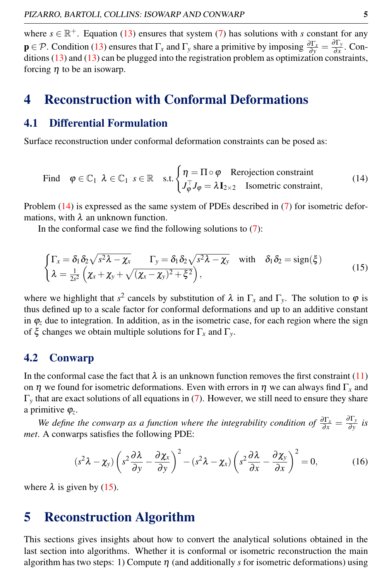where  $s \in \mathbb{R}^+$ . Equation [\(13\)](#page-3-4) ensures that system [\(7\)](#page-2-5) has solutions with *s* constant for any  $\mathbf{p} \in \mathcal{P}$ . Condition [\(13\)](#page-3-4) ensures that  $\Gamma_x$  and  $\Gamma_y$  share a primitive by imposing  $\frac{\partial \Gamma_x}{\partial y} = \frac{\partial \Gamma_y}{\partial x}$  $\frac{\partial \mathbf{r}_y}{\partial x}$ . Con-ditions [\(13\)](#page-3-4) and (13) can be plugged into the registration problem as optimization constraints, forcing  $\eta$  to be an isowarp.

### <span id="page-4-0"></span>4 Reconstruction with Conformal Deformations

#### 4.1 Differential Formulation

<span id="page-4-2"></span>Surface reconstruction under conformal deformation constraints can be posed as:

Find 
$$
\varphi \in \mathbb{C}_1
$$
  $\lambda \in \mathbb{C}_1$   $s \in \mathbb{R}$  s.t. 
$$
\begin{cases} \eta = \Pi \circ \varphi \quad \text{Rerojection constraint} \\ J_{\varphi}^{\top} J_{\varphi} = \lambda \mathbf{I}_{2 \times 2} \quad \text{Isometric constraint,} \end{cases}
$$
 (14)

Problem [\(14\)](#page-4-2) is expressed as the same system of PDEs described in [\(7\)](#page-2-5) for isometric deformations, with  $\lambda$  an unknown function.

<span id="page-4-3"></span>In the conformal case we find the following solutions to  $(7)$ :

$$
\begin{cases}\n\Gamma_x = \delta_1 \delta_2 \sqrt{s^2 \lambda - \chi_x} & \Gamma_y = \delta_1 \delta_2 \sqrt{s^2 \lambda - \chi_y} \quad \text{with} \quad \delta_1 \delta_2 = \text{sign}(\xi) \\
\lambda = \frac{1}{2s^2} \left( \chi_x + \chi_y + \sqrt{(\chi_x - \chi_y)^2 + \xi^2} \right),\n\end{cases} (15)
$$

where we highlight that  $s^2$  cancels by substitution of  $\lambda$  in  $\Gamma_x$  and  $\Gamma_y$ . The solution to  $\varphi$  is thus defined up to a scale factor for conformal deformations and up to an additive constant in  $\varphi_z$  due to integration. In addition, as in the isometric case, for each region where the sign of ξ changes we obtain multiple solutions for Γ*<sup>x</sup>* and Γ*y*.

#### 4.2 Conwarp

In the conformal case the fact that  $\lambda$  is an unknown function removes the first constraint [\(11\)](#page-3-2) on  $\eta$  we found for isometric deformations. Even with errors in  $\eta$  we can always find  $\Gamma_x$  and Γ*<sup>y</sup>* that are exact solutions of all equations in [\(7\)](#page-2-5). However, we still need to ensure they share a primitive  $\varphi_z$ .

*We define the conwarp as a function where the integrability condition of*  $\frac{\partial \Gamma_x}{\partial x} = \frac{\partial \Gamma_y}{\partial y}$  $\frac{\partial$ <sup>*i*</sup> *y is met*. A conwarps satisfies the following PDE:

$$
(s^2 \lambda - \chi_y) \left( s^2 \frac{\partial \lambda}{\partial y} - \frac{\partial \chi_x}{\partial y} \right)^2 - (s^2 \lambda - \chi_x) \left( s^2 \frac{\partial \lambda}{\partial x} - \frac{\partial \chi_y}{\partial x} \right)^2 = 0, \tag{16}
$$

where  $\lambda$  is given by [\(15\)](#page-4-3).

### <span id="page-4-1"></span>5 Reconstruction Algorithm

This sections gives insights about how to convert the analytical solutions obtained in the last section into algorithms. Whether it is conformal or isometric reconstruction the main algorithm has two steps: 1) Compute  $\eta$  (and additionally *s* for isometric deformations) using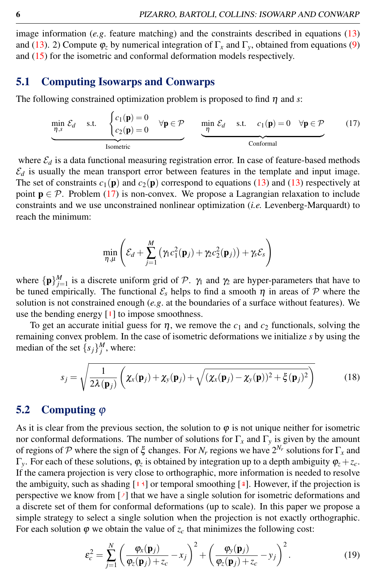image information (*e.g*. feature matching) and the constraints described in equations [\(13\)](#page-3-4) and [\(13\)](#page-3-4). 2) Compute  $\varphi$ <sub>z</sub> by numerical integration of  $\Gamma$ <sub>x</sub> and  $\Gamma$ <sub>y</sub>, obtained from equations [\(9\)](#page-3-0) and [\(15\)](#page-4-3) for the isometric and conformal deformation models respectively.

#### 5.1 Computing Isowarps and Conwarps

The following constrained optimization problem is proposed to find  $\eta$  and *s*:

<span id="page-5-0"></span>
$$
\underbrace{\min_{\eta,s} \mathcal{E}_d \quad s.t. \quad \begin{cases} c_1(\mathbf{p}) = 0 & \forall \mathbf{p} \in \mathcal{P} \\ c_2(\mathbf{p}) = 0 & \forall \mathbf{p} \in \mathcal{P} \end{cases} \quad \underbrace{\min_{\eta} \mathcal{E}_d \quad s.t. \quad c_1(\mathbf{p}) = 0 \quad \forall \mathbf{p} \in \mathcal{P}}_{\text{Conformal}} \tag{17}
$$

where  $\mathcal{E}_d$  is a data functional measuring registration error. In case of feature-based methods  $\mathcal{E}_d$  is usually the mean transport error between features in the template and input image. The set of constraints  $c_1(\mathbf{p})$  and  $c_2(\mathbf{p})$  correspond to equations [\(13\)](#page-3-4) and (13) respectively at point  $p \in \mathcal{P}$ . Problem [\(17\)](#page-5-0) is non-convex. We propose a Lagrangian relaxation to include constraints and we use unconstrained nonlinear optimization (*i.e.* Levenberg-Marquardt) to reach the minimum:

$$
\min_{\eta,\mu} \left( \mathcal{E}_d + \sum_{j=1}^M \left( \gamma_1 c_1^2(\mathbf{p}_j) + \gamma_2 c_2^2(\mathbf{p}_j) \right) + \gamma_s \mathcal{E}_s \right)
$$

where  $\{p\}_{j=1}^M$  is a discrete uniform grid of P.  $\gamma_1$  and  $\gamma_2$  are hyper-parameters that have to be tuned empirically. The functional  $\mathcal{E}_s$  helps to find a smooth  $\eta$  in areas of  $\mathcal P$  where the solution is not constrained enough (*e.g*. at the boundaries of a surface without features). We use the bending energy  $[1]$  to impose smoothness.

To get an accurate initial guess for  $\eta$ , we remove the  $c_1$  and  $c_2$  functionals, solving the remaining convex problem. In the case of isometric deformations we initialize *s* by using the median of the set  ${s_j}_{j}^{M}$ , where:

$$
s_j = \sqrt{\frac{1}{2\lambda(\mathbf{p}_j)}\left(\chi_x(\mathbf{p}_j) + \chi_y(\mathbf{p}_j) + \sqrt{(\chi_x(\mathbf{p}_j) - \chi_y(\mathbf{p}))^2 + \xi(\mathbf{p}_j)^2}\right)}
$$
(18)

#### 5.2 Computing  $\varphi$

As it is clear from the previous section, the solution to  $\varphi$  is not unique neither for isometric nor conformal deformations. The number of solutions for  $\Gamma_x$  and  $\Gamma_y$  is given by the amount of regions of P where the sign of  $\xi$  changes. For  $N_r$  regions we have  $2^{N_r}$  solutions for  $\Gamma_x$  and Γ*y*. For each of these solutions, ϕ*<sup>z</sup>* is obtained by integration up to a depth ambiguity ϕ*<sup>z</sup>* +*zc*. If the camera projection is very close to orthographic, more information is needed to resolve the ambiguity, such as shading  $[13]$  or temporal smoothing  $[4]$ . However, if the projection is perspective we know from [2] that we have a single solution for isometric deformations and a discrete set of them for conformal deformations (up to scale). In this paper we propose a simple strategy to select a single solution when the projection is not exactly orthographic. For each solution  $\varphi$  we obtain the value of  $z_c$  that minimizes the following cost:

$$
\varepsilon_c^2 = \sum_{j=1}^N \left( \frac{\varphi_x(\mathbf{p}_j)}{\varphi_z(\mathbf{p}_j) + z_c} - x_j \right)^2 + \left( \frac{\varphi_y(\mathbf{p}_j)}{\varphi_z(\mathbf{p}_j) + z_c} - y_j \right)^2.
$$
 (19)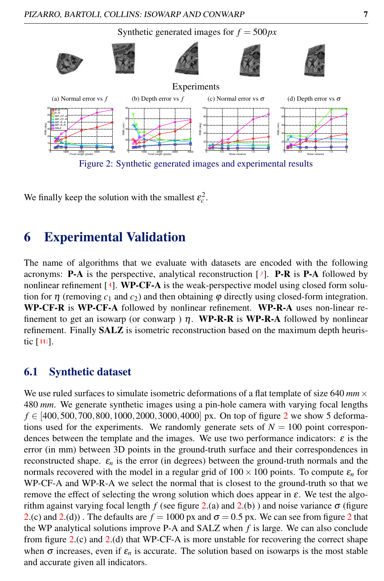

<span id="page-6-1"></span>We finally keep the solution with the smallest  $\varepsilon_c^2$ .

# <span id="page-6-0"></span>6 Experimental Validation

The name of algorithms that we evaluate with datasets are encoded with the following acronyms: **P-A** is the perspective, analytical reconstruction  $[2]$ . **P-R** is **P-A** followed by nonlinear refinement  $[3]$ . WP-CF-A is the weak-perspective model using closed form solution for  $\eta$  (removing  $c_1$  and  $c_2$ ) and then obtaining  $\varphi$  directly using closed-form integration. WP-CF-R is WP-CF-A followed by nonlinear refinement. WP-R-A uses non-linear refinement to get an isowarp (or conwarp )  $\eta$ . WP-R-R is WP-R-A followed by nonlinear refinement. Finally **SALZ** is isometric reconstruction based on the maximum depth heuristic [10].

#### 6.1 Synthetic dataset

We use ruled surfaces to simulate isometric deformations of a flat template of size 640  $mm \times$ 480 *mm*. We generate synthetic images using a pin-hole camera with varying focal lengths *f* ∈ [400,500,700,800,1000,[2](#page-6-1)000,3000,4000] px. On top of figure 2 we show 5 deformations used for the experiments. We randomly generate sets of  $N = 100$  point correspondences between the template and the images. We use two performance indicators:  $\varepsilon$  is the error (in mm) between 3D points in the ground-truth surface and their correspondences in reconstructed shape.  $\varepsilon_n$  is the error (in degrees) between the ground-truth normals and the normals recovered with the model in a regular grid of  $100 \times 100$  points. To compute  $\varepsilon_n$  for WP-CF-A and WP-R-A we select the normal that is closest to the ground-truth so that we remove the effect of selecting the wrong solution which does appear in  $\varepsilon$ . We test the algorithm against varying focal length *f* (see figure [2.](#page-6-1)(a) and 2.(b)) and noise variance  $\sigma$  (figure [2.](#page-6-1)(c) and [2](#page-6-1).(d)). The defaults are  $f = 1000$  px and  $\sigma = 0.5$  px. We can see from figure 2 that the WP analytical solutions improve P-A and SALZ when *f* is large. We can also conclude from figure [2.](#page-6-1)(c) and [2.](#page-6-1)(d) that WP-CF-A is more unstable for recovering the correct shape when  $\sigma$  increases, even if  $\varepsilon_n$  is accurate. The solution based on isowarps is the most stable and accurate given all indicators.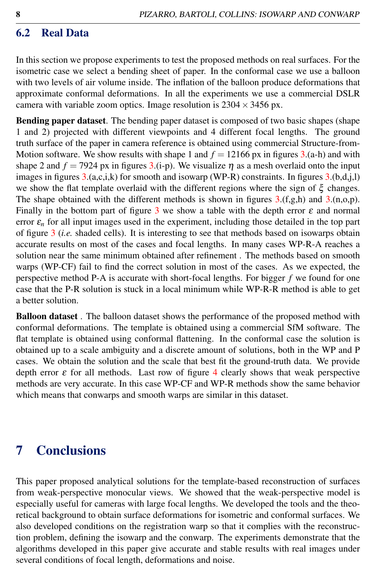### 6.2 Real Data

In this section we propose experiments to test the proposed methods on real surfaces. For the isometric case we select a bending sheet of paper. In the conformal case we use a balloon with two levels of air volume inside. The inflation of the balloon produce deformations that approximate conformal deformations. In all the experiments we use a commercial DSLR camera with variable zoom optics. Image resolution is  $2304 \times 3456$  px.

Bending paper dataset. The bending paper dataset is composed of two basic shapes (shape 1 and 2) projected with different viewpoints and 4 different focal lengths. The ground truth surface of the paper in camera reference is obtained using commercial Structure-from-Motion software. We show results with shape 1 and  $f = 12166$  px in figures [3.](#page-8-0)(a-h) and with shape 2 and  $f = 7924$  px in figures [3.](#page-8-0)(i-p). We visualize  $\eta$  as a mesh overlaid onto the input images in figures  $3.(a,c,i,k)$  $3.(a,c,i,k)$  for smooth and isowarp (WP-R) constraints. In figures  $3.(b,d,i,l)$ we show the flat template overlaid with the different regions where the sign of  $\xi$  changes. The shape obtained with the different methods is shown in figures  $3.(f,g,h)$  $3.(f,g,h)$  and  $3.(n,o,p)$ . Finally in the bottom part of figure [3](#page-8-0) we show a table with the depth error  $\varepsilon$  and normal error  $\varepsilon_n$  for all input images used in the experiment, including those detailed in the top part of figure [3](#page-8-0) (*i.e.* shaded cells). It is interesting to see that methods based on isowarps obtain accurate results on most of the cases and focal lengths. In many cases WP-R-A reaches a solution near the same minimum obtained after refinement . The methods based on smooth warps (WP-CF) fail to find the correct solution in most of the cases. As we expected, the perspective method P-A is accurate with short-focal lengths. For bigger *f* we found for one case that the P-R solution is stuck in a local minimum while WP-R-R method is able to get a better solution.

Balloon dataset . The balloon dataset shows the performance of the proposed method with conformal deformations. The template is obtained using a commercial SfM software. The flat template is obtained using conformal flattening. In the conformal case the solution is obtained up to a scale ambiguity and a discrete amount of solutions, both in the WP and P cases. We obtain the solution and the scale that best fit the ground-truth data. We provide depth error  $\varepsilon$  for all methods. Last row of figure [4](#page-8-1) clearly shows that weak perspective methods are very accurate. In this case WP-CF and WP-R methods show the same behavior which means that conwarps and smooth warps are similar in this dataset.

# 7 Conclusions

This paper proposed analytical solutions for the template-based reconstruction of surfaces from weak-perspective monocular views. We showed that the weak-perspective model is especially useful for cameras with large focal lengths. We developed the tools and the theoretical background to obtain surface deformations for isometric and conformal surfaces. We also developed conditions on the registration warp so that it complies with the reconstruction problem, defining the isowarp and the conwarp. The experiments demonstrate that the algorithms developed in this paper give accurate and stable results with real images under several conditions of focal length, deformations and noise.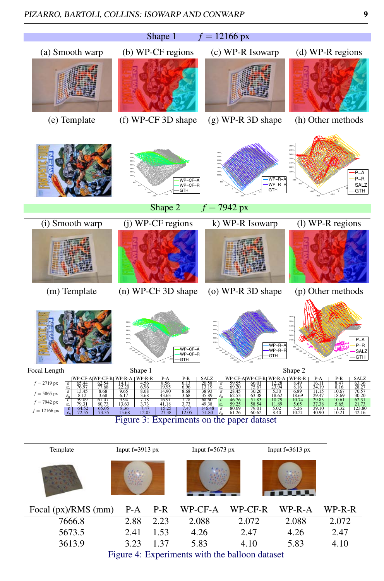

| Focal (px)/RMS (mm) P-A P-R WP-CF-A WP-CF-R WP-R-A WP-R-R      |           |  |       |       |       |       |
|----------------------------------------------------------------|-----------|--|-------|-------|-------|-------|
| 7666.8                                                         | 2.88 2.23 |  | 2.088 | 2.072 | 2.088 | 2.072 |
| 5673.5                                                         | 2.41 1.53 |  | 4.26  | 2.47  | 4.26  | 2.47  |
| 3613.9                                                         | 3.23 1.37 |  | 5.83  | 4.10  | 5.83  | 4.10  |
| $\Gamma$ ianna 4. $\Gamma$ wnamimanta with tha hallaan dataaat |           |  |       |       |       |       |

<span id="page-8-1"></span><span id="page-8-0"></span>Figure 4: Experiments with the balloon dataset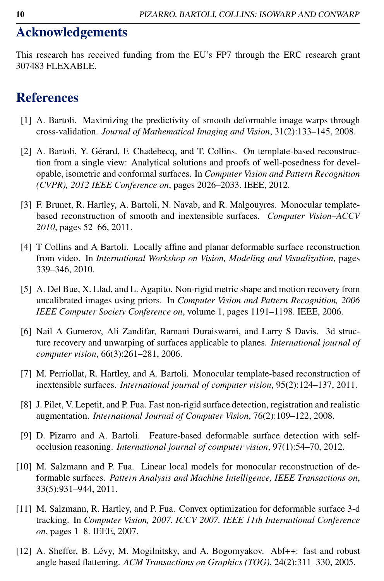# Acknowledgements

This research has received funding from the EU's FP7 through the ERC research grant 307483 FLEXABLE.

## References

- [1] A. Bartoli. Maximizing the predictivity of smooth deformable image warps through cross-validation. *Journal of Mathematical Imaging and Vision*, 31(2):133–145, 2008.
- [2] A. Bartoli, Y. Gérard, F. Chadebecq, and T. Collins. On template-based reconstruction from a single view: Analytical solutions and proofs of well-posedness for developable, isometric and conformal surfaces. In *Computer Vision and Pattern Recognition (CVPR), 2012 IEEE Conference on*, pages 2026–2033. IEEE, 2012.
- [3] F. Brunet, R. Hartley, A. Bartoli, N. Navab, and R. Malgouyres. Monocular templatebased reconstruction of smooth and inextensible surfaces. *Computer Vision–ACCV 2010*, pages 52–66, 2011.
- [4] T Collins and A Bartoli. Locally affine and planar deformable surface reconstruction from video. In *International Workshop on Vision, Modeling and Visualization*, pages 339–346, 2010.
- [5] A. Del Bue, X. Llad, and L. Agapito. Non-rigid metric shape and motion recovery from uncalibrated images using priors. In *Computer Vision and Pattern Recognition, 2006 IEEE Computer Society Conference on*, volume 1, pages 1191–1198. IEEE, 2006.
- [6] Nail A Gumerov, Ali Zandifar, Ramani Duraiswami, and Larry S Davis. 3d structure recovery and unwarping of surfaces applicable to planes. *International journal of computer vision*, 66(3):261–281, 2006.
- [7] M. Perriollat, R. Hartley, and A. Bartoli. Monocular template-based reconstruction of inextensible surfaces. *International journal of computer vision*, 95(2):124–137, 2011.
- [8] J. Pilet, V. Lepetit, and P. Fua. Fast non-rigid surface detection, registration and realistic augmentation. *International Journal of Computer Vision*, 76(2):109–122, 2008.
- [9] D. Pizarro and A. Bartoli. Feature-based deformable surface detection with selfocclusion reasoning. *International journal of computer vision*, 97(1):54–70, 2012.
- [10] M. Salzmann and P. Fua. Linear local models for monocular reconstruction of deformable surfaces. *Pattern Analysis and Machine Intelligence, IEEE Transactions on*, 33(5):931–944, 2011.
- [11] M. Salzmann, R. Hartley, and P. Fua. Convex optimization for deformable surface 3-d tracking. In *Computer Vision, 2007. ICCV 2007. IEEE 11th International Conference on*, pages 1–8. IEEE, 2007.
- [12] A. Sheffer, B. Lévy, M. Mogilnitsky, and A. Bogomyakov. Abf++: fast and robust angle based flattening. *ACM Transactions on Graphics (TOG)*, 24(2):311–330, 2005.